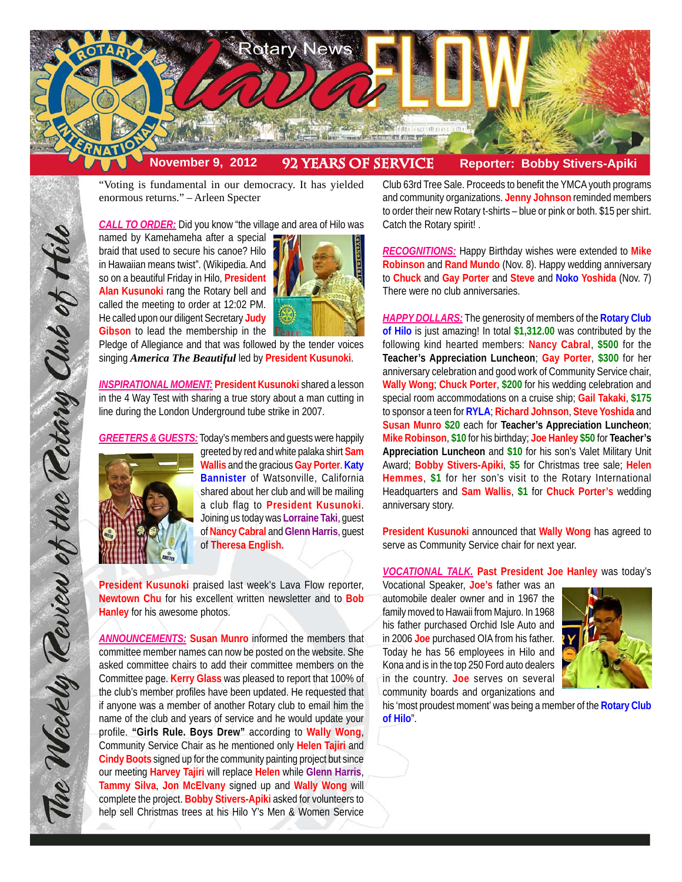

"Voting is fundamental in our democracy. It has yielded enormous returns." – Arleen Specter

*CALL TO ORDER:* Did you know "the village and area of Hilo was

named by Kamehameha after a special braid that used to secure his canoe? Hilo in Hawaiian means twist". (Wikipedia. And so on a beautiful Friday in Hilo, **President Alan Kusunoki** rang the Rotary bell and called the meeting to order at 12:02 PM. He called upon our diligent Secretary **Judy Gibson** to lead the membership in the



Pledge of Allegiance and that was followed by the tender voices singing *America The Beautiful* led by **President Kusunoki**.

*INSPIRATIONAL MOMENT:* **President Kusunoki** shared a lesson in the 4 Way Test with sharing a true story about a man cutting in line during the London Underground tube strike in 2007.

*GREETERS & GUESTS:* Today's members and guests were happily



The Weekly Review of the Rotary Club of Hilo

greeted by red and white palaka shirt **Sam Wallis** and the gracious **Gay Porter**. **Katy Bannister** of Watsonville, California shared about her club and will be mailing a club flag to **President Kusunoki**. Joining us today was **Lorraine Taki**, guest of **Nancy Cabral** and **Glenn Harris**, guest of **Theresa English.**

**President Kusunoki** praised last week's Lava Flow reporter, **Newtown Chu** for his excellent written newsletter and to **Bob Hanley** for his awesome photos.

*ANNOUNCEMENTS:* **Susan Munro** informed the members that committee member names can now be posted on the website. She asked committee chairs to add their committee members on the Committee page. **Kerry Glass** was pleased to report that 100% of the club's member profiles have been updated. He requested that if anyone was a member of another Rotary club to email him the name of the club and years of service and he would update your profile. **"Girls Rule. Boys Drew"** according to **Wally Wong**, Community Service Chair as he mentioned only **Helen Tajiri** and **Cindy Boots** signed up for the community painting project but since our meeting **Harvey Tajiri** will replace **Helen** while **Glenn Harris**, **Tammy Silva**, **Jon McElvany** signed up and **Wally Wong** will complete the project. **Bobby Stivers-Apiki** asked for volunteers to help sell Christmas trees at his Hilo Y's Men & Women Service

Club 63rd Tree Sale. Proceeds to benefit the YMCA youth programs and community organizations. **Jenny Johnson** reminded members to order their new Rotary t-shirts – blue or pink or both. \$15 per shirt. Catch the Rotary spirit! .

*RECOGNITIONS:* Happy Birthday wishes were extended to **Mike Robinson** and **Rand Mundo** (Nov. 8). Happy wedding anniversary to **Chuck** and **Gay Porter** and **Steve** and **Noko Yoshida** (Nov. 7) There were no club anniversaries.

*HAPPY DOLLARS:* The generosity of members of the **Rotary Club of Hilo** is just amazing! In total **\$1,312.00** was contributed by the following kind hearted members: **Nancy Cabral**, **\$500** for the **Teacher's Appreciation Luncheon**; **Gay Porter**, **\$300** for her anniversary celebration and good work of Community Service chair, **Wally Wong**; **Chuck Porter**, **\$200** for his wedding celebration and special room accommodations on a cruise ship; **Gail Takaki**, **\$175** to sponsor a teen for **RYLA**; **Richard Johnson**, **Steve Yoshida** and **Susan Munro \$20** each for **Teacher's Appreciation Luncheon**; **Mike Robinson**, **\$10** for his birthday; **Joe Hanley \$50** for **Teacher's Appreciation Luncheon** and **\$10** for his son's Valet Military Unit Award; **Bobby Stivers-Apiki**, **\$5** for Christmas tree sale; **Helen Hemmes**, **\$1** for her son's visit to the Rotary International Headquarters and **Sam Wallis**, **\$1** for **Chuck Porter's** wedding anniversary story.

**President Kusunoki** announced that **Wally Wong** has agreed to serve as Community Service chair for next year.

*VOCATIONAL TALK.* **Past President Joe Hanley** was today's

Vocational Speaker, **Joe's** father was an automobile dealer owner and in 1967 the family moved to Hawaii from Majuro. In 1968 his father purchased Orchid Isle Auto and in 2006 **Joe** purchased OIA from his father. Today he has 56 employees in Hilo and Kona and is in the top 250 Ford auto dealers in the country. **Joe** serves on several community boards and organizations and



his 'most proudest moment' was being a member of the **Rotary Club of Hilo**".